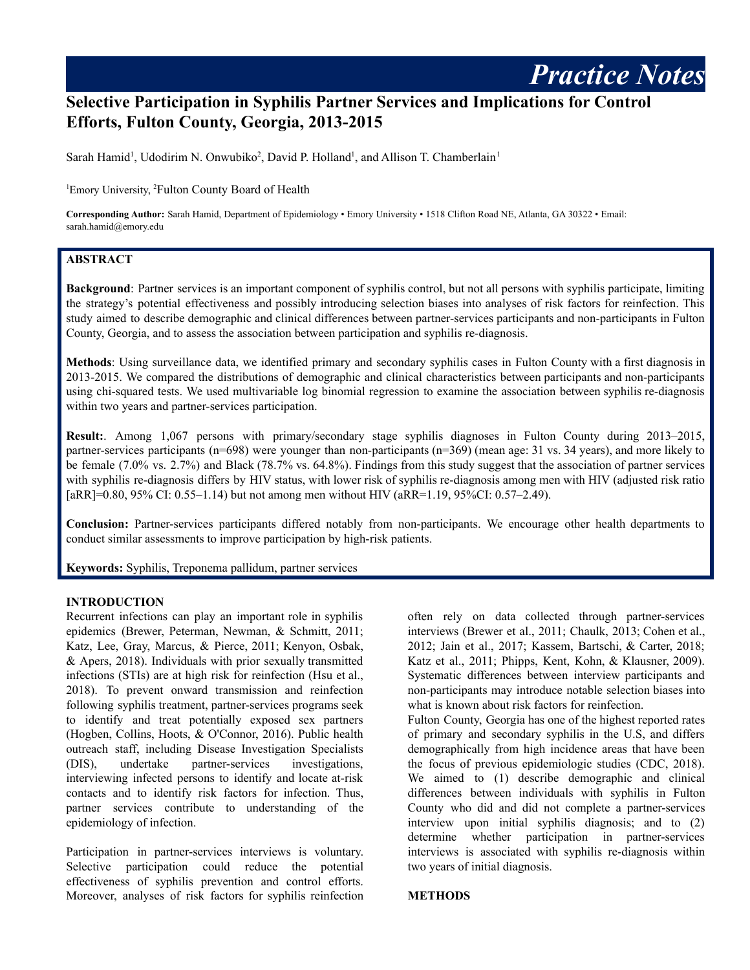# **Selective Participation in Syphilis Partner Services and Implications for Control Efforts, Fulton County, Georgia, 2013-2015**

Sarah Hamid<sup>1</sup>, Udodirim N. Onwubiko<sup>2</sup>, David P. Holland<sup>1</sup>, and Allison T. Chamberlain<sup>1</sup>

<sup>1</sup>Emory University, <sup>2</sup>Fulton County Board of Health

**Corresponding Author:** Sarah Hamid, Department of Epidemiology • Emory University • 1518 Clifton Road NE, Atlanta, GA 30322 • Email: sarah.hamid@emory.edu

## **ABSTRACT**

**Background**: Partner services is an important component of syphilis control, but not all persons with syphilis participate, limiting the strategy's potential effectiveness and possibly introducing selection biases into analyses of risk factors for reinfection. This study aimed to describe demographic and clinical differences between partner-services participants and non-participants in Fulton County, Georgia, and to assess the association between participation and syphilis re-diagnosis.

**Methods**: Using surveillance data, we identified primary and secondary syphilis cases in Fulton County with a first diagnosis in 2013-2015. We compared the distributions of demographic and clinical characteristics between participants and non-participants using chi-squared tests. We used multivariable log binomial regression to examine the association between syphilis re-diagnosis within two years and partner-services participation.

**Result:**. Among 1,067 persons with primary/secondary stage syphilis diagnoses in Fulton County during 2013–2015, partner-services participants (n=698) were younger than non-participants (n=369) (mean age: 31 vs. 34 years), and more likely to be female (7.0% vs. 2.7%) and Black (78.7% vs. 64.8%). Findings from this study suggest that the association of partner services with syphilis re-diagnosis differs by HIV status, with lower risk of syphilis re-diagnosis among men with HIV (adjusted risk ratio [aRR]=0.80, 95% CI: 0.55–1.14) but not among men without HIV (aRR=1.19, 95%CI: 0.57–2.49).

**Conclusion:** Partner-services participants differed notably from non-participants. We encourage other health departments to conduct similar assessments to improve participation by high-risk patients.

**Keywords:** Syphilis, Treponema pallidum, partner services

#### **INTRODUCTION**

Recurrent infections can play an important role in syphilis epidemics (Brewer, Peterman, Newman, & Schmitt, 2011; Katz, Lee, Gray, Marcus, & Pierce, 2011; Kenyon, Osbak, & Apers, 2018). Individuals with prior sexually transmitted infections (STIs) are at high risk for reinfection (Hsu et al., 2018). To prevent onward transmission and reinfection following syphilis treatment, partner-services programs seek to identify and treat potentially exposed sex partners (Hogben, Collins, Hoots, & O'Connor, 2016). Public health outreach staff, including Disease Investigation Specialists (DIS), undertake partner-services investigations, interviewing infected persons to identify and locate at-risk contacts and to identify risk factors for infection. Thus, partner services contribute to understanding of the epidemiology of infection.

Participation in partner-services interviews is voluntary. Selective participation could reduce the potential effectiveness of syphilis prevention and control efforts. Moreover, analyses of risk factors for syphilis reinfection often rely on data collected through partner-services interviews (Brewer et al., 2011; Chaulk, 2013; Cohen et al., 2012; Jain et al., 2017; Kassem, Bartschi, & Carter, 2018; Katz et al., 2011; Phipps, Kent, Kohn, & Klausner, 2009). Systematic differences between interview participants and non-participants may introduce notable selection biases into what is known about risk factors for reinfection.

*Practice Notes*

Fulton County, Georgia has one of the highest reported rates of primary and secondary syphilis in the U.S, and differs demographically from high incidence areas that have been the focus of previous epidemiologic studies (CDC, 2018). We aimed to (1) describe demographic and clinical differences between individuals with syphilis in Fulton County who did and did not complete a partner-services interview upon initial syphilis diagnosis; and to (2) determine whether participation in partner-services interviews is associated with syphilis re-diagnosis within two years of initial diagnosis.

#### **METHODS**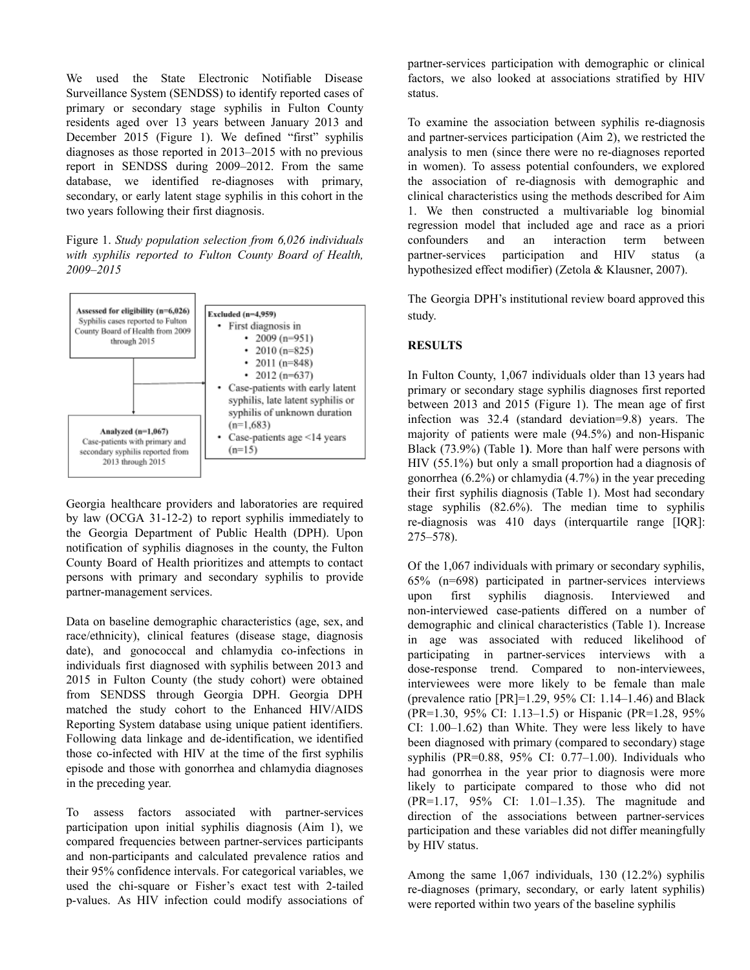We used the State Electronic Notifiable Disease Surveillance System (SENDSS) to identify reported cases of primary or secondary stage syphilis in Fulton County residents aged over 13 years between January 2013 and December 2015 (Figure 1). We defined "first" syphilis diagnoses as those reported in 2013–2015 with no previous report in SENDSS during 2009–2012. From the same database, we identified re-diagnoses with primary, secondary, or early latent stage syphilis in this cohort in the two years following their first diagnosis.

Figure 1. *Study population selection from 6,026 individuals with syphilis reported to Fulton County Board of Health, 2009–2015*



Georgia healthcare providers and laboratories are required by law (OCGA 31-12-2) to report syphilis immediately to the Georgia Department of Public Health (DPH). Upon notification of syphilis diagnoses in the county, the Fulton County Board of Health prioritizes and attempts to contact persons with primary and secondary syphilis to provide partner-management services.

Data on baseline demographic characteristics (age, sex, and race/ethnicity), clinical features (disease stage, diagnosis date), and gonococcal and chlamydia co-infections in individuals first diagnosed with syphilis between 2013 and 2015 in Fulton County (the study cohort) were obtained from SENDSS through Georgia DPH. Georgia DPH matched the study cohort to the Enhanced HIV/AIDS Reporting System database using unique patient identifiers. Following data linkage and de-identification, we identified those co-infected with HIV at the time of the first syphilis episode and those with gonorrhea and chlamydia diagnoses in the preceding year.

To assess factors associated with partner-services participation upon initial syphilis diagnosis (Aim 1), we compared frequencies between partner-services participants and non-participants and calculated prevalence ratios and their 95% confidence intervals. For categorical variables, we used the chi-square or Fisher's exact test with 2-tailed p-values. As HIV infection could modify associations of

partner-services participation with demographic or clinical factors, we also looked at associations stratified by HIV status.

To examine the association between syphilis re-diagnosis and partner-services participation (Aim 2), we restricted the analysis to men (since there were no re-diagnoses reported in women). To assess potential confounders, we explored the association of re-diagnosis with demographic and clinical characteristics using the methods described for Aim 1. We then constructed a multivariable log binomial regression model that included age and race as a priori confounders and an interaction term between partner-services participation and HIV status (a hypothesized effect modifier) (Zetola & Klausner, 2007).

The Georgia DPH's institutional review board approved this study.

### **RESULTS**

In Fulton County, 1,067 individuals older than 13 years had primary or secondary stage syphilis diagnoses first reported between 2013 and 2015 (Figure 1). The mean age of first infection was 32.4 (standard deviation=9.8) years. The majority of patients were male (94.5%) and non-Hispanic Black (73.9%) (Table 1**)**. More than half were persons with HIV (55.1%) but only a small proportion had a diagnosis of gonorrhea (6.2%) or chlamydia (4.7%) in the year preceding their first syphilis diagnosis (Table 1). Most had secondary stage syphilis (82.6%). The median time to syphilis re-diagnosis was 410 days (interquartile range [IQR]: 275–578).

Of the 1,067 individuals with primary or secondary syphilis, 65% (n=698) participated in partner-services interviews upon first syphilis diagnosis. Interviewed and non-interviewed case-patients differed on a number of demographic and clinical characteristics (Table 1). Increase in age was associated with reduced likelihood of participating in partner-services interviews with a dose-response trend. Compared to non-interviewees, interviewees were more likely to be female than male (prevalence ratio [PR]=1.29, 95% CI: 1.14–1.46) and Black (PR=1.30, 95% CI: 1.13–1.5) or Hispanic (PR=1.28, 95% CI: 1.00–1.62) than White. They were less likely to have been diagnosed with primary (compared to secondary) stage syphilis (PR=0.88, 95% CI: 0.77–1.00). Individuals who had gonorrhea in the year prior to diagnosis were more likely to participate compared to those who did not (PR=1.17, 95% CI: 1.01–1.35). The magnitude and direction of the associations between partner-services participation and these variables did not differ meaningfully by HIV status.

Among the same 1,067 individuals, 130 (12.2%) syphilis re-diagnoses (primary, secondary, or early latent syphilis) were reported within two years of the baseline syphilis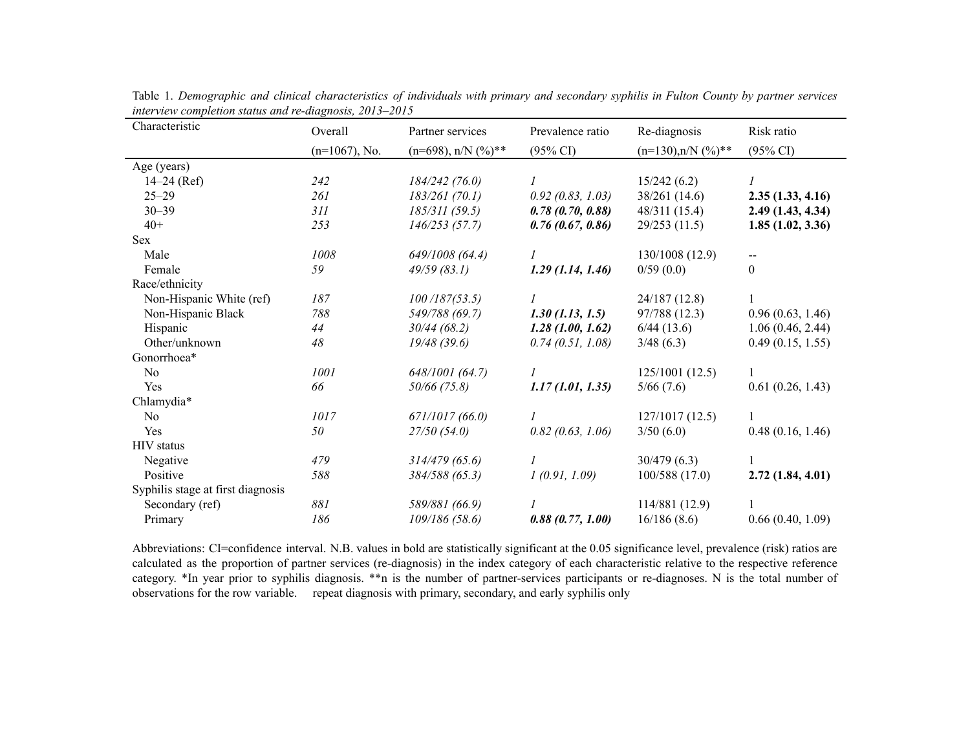| Characteristic                    | Overall          | Partner services          | Prevalence ratio    | Re-diagnosis            | Risk ratio          |
|-----------------------------------|------------------|---------------------------|---------------------|-------------------------|---------------------|
|                                   | $(n=1067)$ , No. | $(n=698)$ , n/N $(\%)$ ** | $(95\% \text{ CI})$ | $(n=130), n/N$ $(\%)**$ | $(95\% \text{ CI})$ |
| Age (years)                       |                  |                           |                     |                         |                     |
| $14-24$ (Ref)                     | 242              | 184/242(76.0)             |                     | 15/242(6.2)             |                     |
| $25 - 29$                         | 261              | 183/261(70.1)             | 0.92(0.83, 1.03)    | 38/261(14.6)            | 2.35(1.33, 4.16)    |
| $30 - 39$                         | 311              | 185/311(59.5)             | 0.78(0.70, 0.88)    | 48/311 (15.4)           | 2.49(1.43, 4.34)    |
| $40+$                             | 253              | 146/253(57.7)             | 0.76(0.67, 0.86)    | 29/253(11.5)            | 1.85(1.02, 3.36)    |
| <b>Sex</b>                        |                  |                           |                     |                         |                     |
| Male                              | 1008             | 649/1008 (64.4)           |                     | 130/1008 (12.9)         |                     |
| Female                            | 59               | 49/59(83.1)               | 1.29(1.14, 1.46)    | 0/59(0.0)               | $\theta$            |
| Race/ethnicity                    |                  |                           |                     |                         |                     |
| Non-Hispanic White (ref)          | 187              | 100/187(53.5)             |                     | 24/187(12.8)            |                     |
| Non-Hispanic Black                | 788              | 549/788 (69.7)            | $1.30$ (1.13, 1.5)  | 97/788 (12.3)           | 0.96(0.63, 1.46)    |
| Hispanic                          | 44               | 30/44(68.2)               | 1.28(1.00, 1.62)    | 6/44(13.6)              | 1.06(0.46, 2.44)    |
| Other/unknown                     | 48               | 19/48(39.6)               | 0.74(0.51, 1.08)    | 3/48(6.3)               | 0.49(0.15, 1.55)    |
| Gonorrhoea*                       |                  |                           |                     |                         |                     |
| N <sub>o</sub>                    | 1001             | 648/1001 (64.7)           |                     | 125/1001(12.5)          |                     |
| Yes                               | 66               | $50/66$ (75.8)            | 1.17(1.01, 1.35)    | 5/66(7.6)               | 0.61(0.26, 1.43)    |
| Chlamydia*                        |                  |                           |                     |                         |                     |
| N <sub>0</sub>                    | 1017             | 671/1017(66.0)            |                     | 127/1017(12.5)          |                     |
| Yes                               | 50               | 27/50(54.0)               | 0.82(0.63, 1.06)    | 3/50(6.0)               | 0.48(0.16, 1.46)    |
| <b>HIV</b> status                 |                  |                           |                     |                         |                     |
| Negative                          | 479              | 314/479(65.6)             |                     | 30/479(6.3)             |                     |
| Positive                          | 588              | 384/588 (65.3)            | 1(0.91, 1.09)       | 100/588(17.0)           | 2.72(1.84, 4.01)    |
| Syphilis stage at first diagnosis |                  |                           |                     |                         |                     |
| Secondary (ref)                   | 881              | 589/881 (66.9)            |                     | 114/881 (12.9)          |                     |
| Primary                           | 186              | 109/186(58.6)             | 0.88(0.77, 1.00)    | 16/186(8.6)             | 0.66(0.40, 1.09)    |

Table 1. Demographic and clinical characteristics of individuals with primary and secondary syphilis in Fulton County by partner services *interview completion status and re-diagnosis, 2013–2015*

Abbreviations: CI=confidence interval. N.B. values in bold are statistically significant at the 0.05 significance level, prevalence (risk) ratios are calculated as the proportion of partner services (re-diagnosis) in the index category of each characteristic relative to the respective reference category. \*In year prior to syphilis diagnosis. \*\*n is the number of partner-services participants or re-diagnoses. N is the total number of observations for the row variable. repeat diagnosis with primary, secondary, and early syphilis only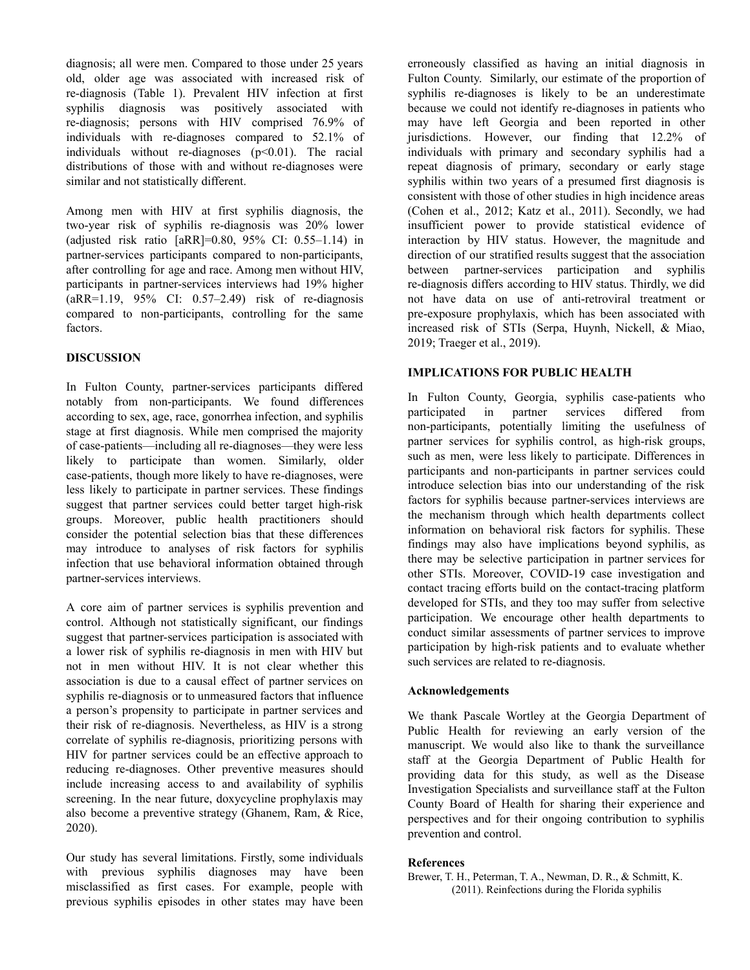diagnosis; all were men. Compared to those under 25 years old, older age was associated with increased risk of re-diagnosis (Table 1). Prevalent HIV infection at first syphilis diagnosis was positively associated with re-diagnosis; persons with HIV comprised 76.9% of individuals with re-diagnoses compared to 52.1% of individuals without re-diagnoses  $(p<0.01)$ . The racial distributions of those with and without re-diagnoses were similar and not statistically different.

Among men with HIV at first syphilis diagnosis, the two-year risk of syphilis re-diagnosis was 20% lower (adjusted risk ratio [aRR]=0.80, 95% CI: 0.55–1.14) in partner-services participants compared to non-participants, after controlling for age and race. Among men without HIV, participants in partner-services interviews had 19% higher (aRR=1.19, 95% CI: 0.57–2.49) risk of re-diagnosis compared to non-participants, controlling for the same factors.

## **DISCUSSION**

In Fulton County, partner-services participants differed notably from non-participants. We found differences according to sex, age, race, gonorrhea infection, and syphilis stage at first diagnosis. While men comprised the majority of case-patients—including all re-diagnoses—they were less likely to participate than women. Similarly, older case-patients, though more likely to have re-diagnoses, were less likely to participate in partner services. These findings suggest that partner services could better target high-risk groups. Moreover, public health practitioners should consider the potential selection bias that these differences may introduce to analyses of risk factors for syphilis infection that use behavioral information obtained through partner-services interviews.

A core aim of partner services is syphilis prevention and control. Although not statistically significant, our findings suggest that partner-services participation is associated with a lower risk of syphilis re-diagnosis in men with HIV but not in men without HIV. It is not clear whether this association is due to a causal effect of partner services on syphilis re-diagnosis or to unmeasured factors that influence a person's propensity to participate in partner services and their risk of re-diagnosis. Nevertheless, as HIV is a strong correlate of syphilis re-diagnosis, prioritizing persons with HIV for partner services could be an effective approach to reducing re-diagnoses. Other preventive measures should include increasing access to and availability of syphilis screening. In the near future, doxycycline prophylaxis may also become a preventive strategy (Ghanem, Ram, & Rice, 2020).

Our study has several limitations. Firstly, some individuals with previous syphilis diagnoses may have been misclassified as first cases. For example, people with previous syphilis episodes in other states may have been

erroneously classified as having an initial diagnosis in Fulton County. Similarly, our estimate of the proportion of syphilis re-diagnoses is likely to be an underestimate because we could not identify re-diagnoses in patients who may have left Georgia and been reported in other jurisdictions. However, our finding that 12.2% of individuals with primary and secondary syphilis had a repeat diagnosis of primary, secondary or early stage syphilis within two years of a presumed first diagnosis is consistent with those of other studies in high incidence areas (Cohen et al., 2012; Katz et al., 2011). Secondly, we had insufficient power to provide statistical evidence of interaction by HIV status. However, the magnitude and direction of our stratified results suggest that the association between partner-services participation and syphilis re-diagnosis differs according to HIV status. Thirdly, we did not have data on use of anti-retroviral treatment or pre-exposure prophylaxis, which has been associated with increased risk of STIs (Serpa, Huynh, Nickell, & Miao, 2019; Traeger et al., 2019).

## **IMPLICATIONS FOR PUBLIC HEALTH**

In Fulton County, Georgia, syphilis case-patients who participated in partner services differed from non-participants, potentially limiting the usefulness of partner services for syphilis control, as high-risk groups, such as men, were less likely to participate. Differences in participants and non-participants in partner services could introduce selection bias into our understanding of the risk factors for syphilis because partner-services interviews are the mechanism through which health departments collect information on behavioral risk factors for syphilis. These findings may also have implications beyond syphilis, as there may be selective participation in partner services for other STIs. Moreover, COVID-19 case investigation and contact tracing efforts build on the contact-tracing platform developed for STIs, and they too may suffer from selective participation. We encourage other health departments to conduct similar assessments of partner services to improve participation by high-risk patients and to evaluate whether such services are related to re-diagnosis.

### **Acknowledgements**

We thank Pascale Wortley at the Georgia Department of Public Health for reviewing an early version of the manuscript. We would also like to thank the surveillance staff at the Georgia Department of Public Health for providing data for this study, as well as the Disease Investigation Specialists and surveillance staff at the Fulton County Board of Health for sharing their experience and perspectives and for their ongoing contribution to syphilis prevention and control.

### **References**

Brewer, T. H., Peterman, T. A., Newman, D. R., & Schmitt, K. (2011). Reinfections during the Florida syphilis